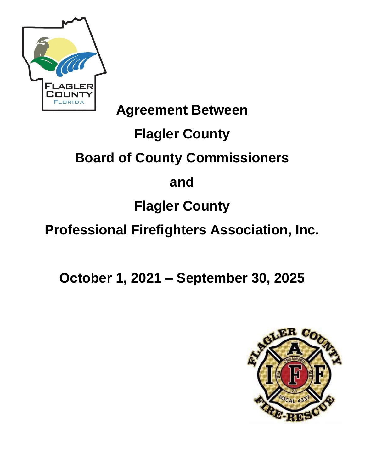

## **Agreement Between**

# **Flagler County**

# **Board of County Commissioners**

## **and**

# **Flagler County**

# **Professional Firefighters Association, Inc.**

**October 1, 2021 – September 30, 2025** 

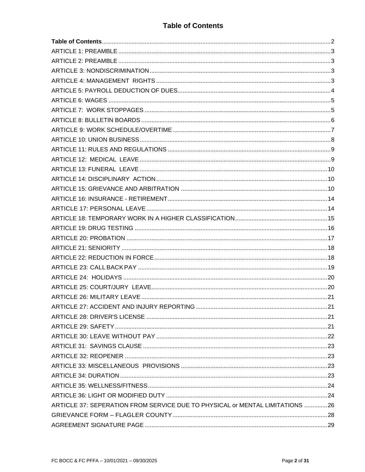#### **Table of Contents**

<span id="page-1-0"></span>

| ARTICLE 37: SEPERATION FROM SERVICE DUE TO PHYSICAL or MENTAL LIMITATIONS 26 |  |
|------------------------------------------------------------------------------|--|
|                                                                              |  |
|                                                                              |  |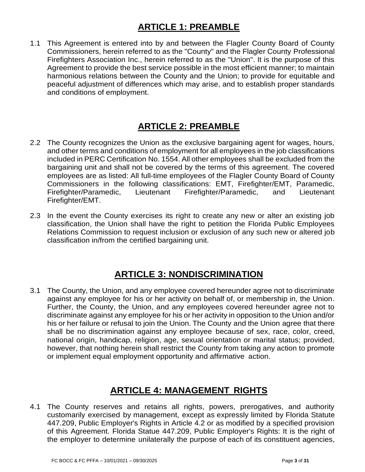## **1 ARTICLE 1: PREAMBLE**

<span id="page-2-0"></span>1.1 This Agreement is entered into by and between the Flagler County Board of County Commissioners, herein referred to as the "County" and the Flagler County Professional Firefighters Association Inc., herein referred to as the "Union". It is the purpose of this Agreement to provide the best service possible in the most efficient manner; to maintain harmonious relations between the County and the Union; to provide for equitable and peaceful adjustment of differences which may arise, and to establish proper standards and conditions of employment.

## **2 ARTICLE 2: PREAMBLE**

- <span id="page-2-1"></span>2.2 The County recognizes the Union as the exclusive bargaining agent for wages, hours, and other terms and conditions of employment for all employees in the job classifications included in PERC Certification No. 1554. All other employees shall be excluded from the bargaining unit and shall not be covered by the terms of this agreement. The covered employees are as listed: All full-time employees of the Flagler County Board of County Commissioners in the following classifications: EMT, Firefighter/EMT, Paramedic, Firefighter/Paramedic, Lieutenant Firefighter/Paramedic, and Lieutenant Firefighter/EMT.
- <span id="page-2-2"></span>2.3 In the event the County exercises its right to create any new or alter an existing job classification, the Union shall have the right to petition the Florida Public Employees Relations Commission to request inclusion or exclusion of any such new or altered job classification in/from the certified bargaining unit.

## **3 ARTICLE 3: NONDISCRIMINATION**

3.1 The County, the Union, and any employee covered hereunder agree not to discriminate against any employee for his or her activity on behalf of, or membership in, the Union. Further, the County, the Union, and any employees covered hereunder agree not to discriminate against any employee for his or her activity in opposition to the Union and/or his or her failure or refusal to join the Union. The County and the Union agree that there shall be no discrimination against any employee because of sex, race, color, creed, national origin, handicap, religion, age, sexual orientation or marital status; provided, however, that nothing herein shall restrict the County from taking any action to promote or implement equal employment opportunity and affirmative action.

## **4 ARTICLE 4: MANAGEMENT RIGHTS**

<span id="page-2-3"></span>4.1 The County reserves and retains all rights, powers, prerogatives, and authority customarily exercised by management, except as expressly limited by Florida Statute 447.209, Public Employer's Rights in Article 4.2 or as modified by a specified provision of this Agreement. Florida Statue 447.209, Public Employer's Rights: It is the right of the employer to determine unilaterally the purpose of each of its constituent agencies,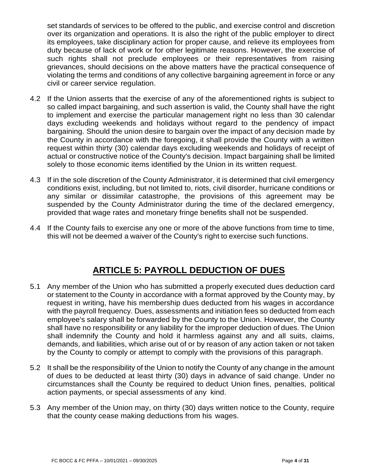set standards of services to be offered to the public, and exercise control and discretion over its organization and operations. It is also the right of the public employer to direct its employees, take disciplinary action for proper cause, and relieve its employees from duty because of lack of work or for other legitimate reasons. However, the exercise of such rights shall not preclude employees or their representatives from raising grievances, should decisions on the above matters have the practical consequence of violating the terms and conditions of any collective bargaining agreement in force or any civil or career service regulation.

- 4.2 If the Union asserts that the exercise of any of the aforementioned rights is subject to so called impact bargaining, and such assertion is valid, the County shall have the right to implement and exercise the particular management right no less than 30 calendar days excluding weekends and holidays without regard to the pendency of impact bargaining. Should the union desire to bargain over the impact of any decision made by the County in accordance with the foregoing, it shall provide the County with a written request within thirty (30) calendar days excluding weekends and holidays of receipt of actual or constructive notice of the County's decision. Impact bargaining shall be limited solely to those economic items identified by the Union in its written request.
- 4.3 If in the sole discretion of the County Administrator, it is determined that civil emergency conditions exist, including, but not limited to, riots, civil disorder, hurricane conditions or any similar or dissimilar catastrophe, the provisions of this agreement may be suspended by the County Administrator during the time of the declared emergency, provided that wage rates and monetary fringe benefits shall not be suspended.
- <span id="page-3-0"></span>4.4 If the County fails to exercise any one or more of the above functions from time to time, this will not be deemed a waiver of the County's right to exercise such functions.

#### **5 ARTICLE 5: PAYROLL DEDUCTION OF DUES**

- 5.1 Any member of the Union who has submitted a properly executed dues deduction card or statement to the County in accordance with a format approved by the County may, by request in writing, have his membership dues deducted from his wages in accordance with the payroll frequency. Dues, assessments and initiation fees so deducted from each employee's salary shall be forwarded by the County to the Union. However, the County shall have no responsibility or any liability for the improper deduction of dues. The Union shall indemnify the County and hold it harmless against any and all suits, claims, demands, and liabilities, which arise out of or by reason of any action taken or not taken by the County to comply or attempt to comply with the provisions of this paragraph.
- 5.2 It shall be the responsibility of the Union to notify the County of any change in the amount of dues to be deducted at least thirty (30) days in advance of said change. Under no circumstances shall the County be required to deduct Union fines, penalties, political action payments, or special assessments of any kind.
- <span id="page-3-1"></span>5.3 Any member of the Union may, on thirty (30) days written notice to the County, require that the county cease making deductions from his wages.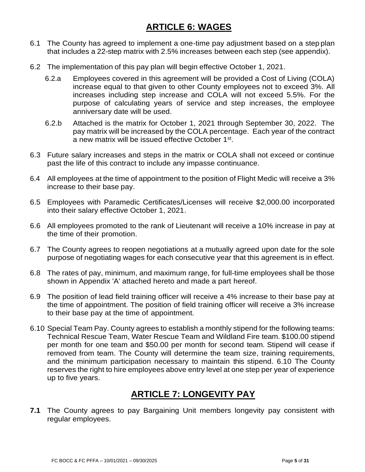## **6 ARTICLE 6: WAGES**

- 6.1 The County has agreed to implement a one-time pay adjustment based on a step plan that includes a 22-step matrix with 2.5% increases between each step (see appendix).
- 6.2 The implementation of this pay plan will begin effective October 1, 2021.
	- 6.2.a Employees covered in this agreement will be provided a Cost of Living (COLA) increase equal to that given to other County employees not to exceed 3%. All increases including step increase and COLA will not exceed 5.5%. For the purpose of calculating years of service and step increases, the employee anniversary date will be used.
	- 6.2.b Attached is the matrix for October 1, 2021 through September 30, 2022. The pay matrix will be increased by the COLA percentage. Each year of the contract a new matrix will be issued effective October 1<sup>st</sup>.
- 6.3 Future salary increases and steps in the matrix or COLA shall not exceed or continue past the life of this contract to include any impasse continuance.
- 6.4 All employees at the time of appointment to the position of Flight Medic will receive a 3% increase to their base pay.
- 6.5 Employees with Paramedic Certificates/Licenses will receive \$2,000.00 incorporated into their salary effective October 1, 2021.
- 6.6 All employees promoted to the rank of Lieutenant will receive a 10% increase in pay at the time of their promotion.
- 6.7 The County agrees to reopen negotiations at a mutually agreed upon date for the sole purpose of negotiating wages for each consecutive year that this agreement is in effect.
- 6.8 The rates of pay, minimum, and maximum range, for full-time employees shall be those shown in Appendix 'A' attached hereto and made a part hereof.
- 6.9 The position of lead field training officer will receive a 4% increase to their base pay at the time of appointment. The position of field training officer will receive a 3% increase to their base pay at the time of appointment.
- 6.10 Special Team Pay. County agrees to establish a monthly stipend for the following teams: Technical Rescue Team, Water Rescue Team and Wildland Fire team. \$100.00 stipend per month for one team and \$50.00 per month for second team. Stipend will cease if removed from team. The County will determine the team size, training requirements, and the minimum participation necessary to maintain this stipend. 6.10 The County reserves the right to hire employees above entry level at one step per year of experience up to five years.

## **7 ARTICLE 7: LONGEVITY PAY**

<span id="page-4-0"></span>**7.1** The County agrees to pay Bargaining Unit members longevity pay consistent with regular employees.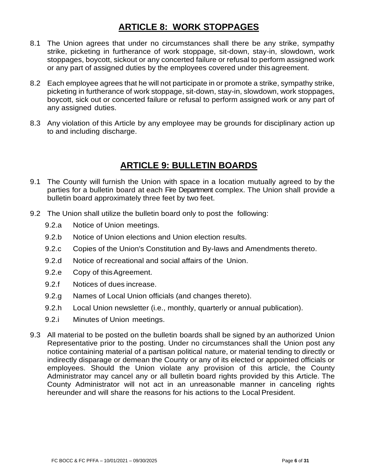## **8 ARTICLE 8: WORK STOPPAGES**

- 8.1 The Union agrees that under no circumstances shall there be any strike, sympathy strike, picketing in furtherance of work stoppage, sit-down, stay-in, slowdown, work stoppages, boycott, sickout or any concerted failure or refusal to perform assigned work or any part of assigned duties by the employees covered under thisagreement.
- 8.2 Each employee agrees that he will not participate in or promote a strike, sympathy strike, picketing in furtherance of work stoppage, sit-down, stay-in, slowdown, work stoppages, boycott, sick out or concerted failure or refusal to perform assigned work or any part of any assigned duties.
- <span id="page-5-0"></span>8.3 Any violation of this Article by any employee may be grounds for disciplinary action up to and including discharge.

## **9 ARTICLE 9: BULLETIN BOARDS**

- 9.1 The County will furnish the Union with space in a location mutually agreed to by the parties for a bulletin board at each Fire Department complex. The Union shall provide a bulletin board approximately three feet by two feet.
- 9.2 The Union shall utilize the bulletin board only to post the following:
	- 9.2.a Notice of Union meetings.
	- 9.2.b Notice of Union elections and Union election results.
	- 9.2.c Copies of the Union's Constitution and By-laws and Amendments thereto.
	- 9.2.d Notice of recreational and social affairs of the Union.
	- 9.2.e Copy of thisAgreement.
	- 9.2.f Notices of dues increase.
	- 9.2.g Names of Local Union officials (and changes thereto).
	- 9.2.h Local Union newsletter (i.e., monthly, quarterly or annual publication).
	- 9.2.i Minutes of Union meetings.
- <span id="page-5-1"></span>9.3 All material to be posted on the bulletin boards shall be signed by an authorized Union Representative prior to the posting. Under no circumstances shall the Union post any notice containing material of a partisan political nature, or material tending to directly or indirectly disparage or demean the County or any of its elected or appointed officials or employees. Should the Union violate any provision of this article, the County Administrator may cancel any or all bulletin board rights provided by this Article. The County Administrator will not act in an unreasonable manner in canceling rights hereunder and will share the reasons for his actions to the Local President.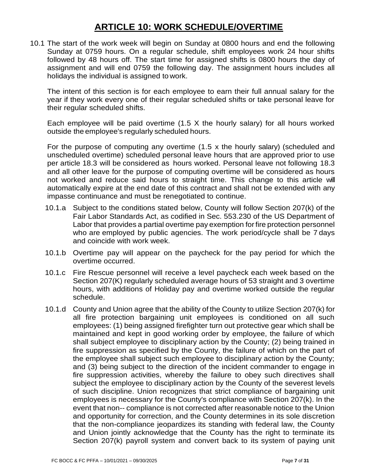## **10 ARTICLE 10: WORK SCHEDULE/OVERTIME**

10.1 The start of the work week will begin on Sunday at 0800 hours and end the following Sunday at 0759 hours. On a regular schedule, shift employees work 24 hour shifts followed by 48 hours off. The start time for assigned shifts is 0800 hours the day of assignment and will end 0759 the following day. The assignment hours includes all holidays the individual is assigned to work.

The intent of this section is for each employee to earn their full annual salary for the year if they work every one of their regular scheduled shifts or take personal leave for their regular scheduled shifts.

Each employee will be paid overtime (1.5 X the hourly salary) for all hours worked outside the employee's regularly scheduled hours.

For the purpose of computing any overtime (1.5 x the hourly salary) (scheduled and unscheduled overtime) scheduled personal leave hours that are approved prior to use per article 18.3 will be considered as hours worked. Personal leave not following 18.3 and all other leave for the purpose of computing overtime will be considered as hours not worked and reduce said hours to straight time. This change to this article will automatically expire at the end date of this contract and shall not be extended with any impasse continuance and must be renegotiated to continue.

- 10.1.a Subject to the conditions stated below, County will follow Section 207(k) of the Fair Labor Standards Act, as codified in Sec. 553.230 of the US Department of Labor that provides a partial overtime pay exemption forfire protection personnel who are employed by public agencies. The work period/cycle shall be 7 days and coincide with work week.
- 10.1.b Overtime pay will appear on the paycheck for the pay period for which the overtime occurred.
- 10.1.c Fire Rescue personnel will receive a level paycheck each week based on the Section 207(K) regularly scheduled average hours of 53 straight and 3 overtime hours, with additions of Holiday pay and overtime worked outside the regular schedule.
- 10.1.d County and Union agree that the ability of the County to utilize Section 207(k) for all fire protection bargaining unit employees is conditioned on all such employees: (1) being assigned firefighter turn out protective gear which shall be maintained and kept in good working order by employee, the failure of which shall subject employee to disciplinary action by the County; (2) being trained in fire suppression as specified by the County, the failure of which on the part of the employee shall subject such employee to disciplinary action by the County; and (3) being subject to the direction of the incident commander to engage in fire suppression activities, whereby the failure to obey such directives shall subject the employee to disciplinary action by the County of the severest levels of such discipline. Union recognizes that strict compliance of bargaining unit employees is necessary for the County's compliance with Section 207(k). In the event that non-- compliance is not corrected after reasonable notice to the Union and opportunity for correction, and the County determines in its sole discretion that the non-compliance jeopardizes its standing with federal law, the County and Union jointly acknowledge that the County has the right to terminate its Section 207(k) payroll system and convert back to its system of paying unit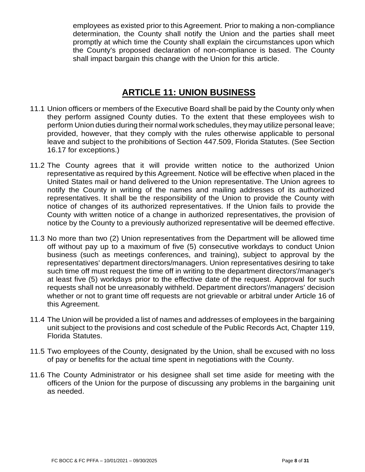employees as existed prior to this Agreement. Prior to making a non-compliance determination, the County shall notify the Union and the parties shall meet promptly at which time the County shall explain the circumstances upon which the County's proposed declaration of non-compliance is based. The County shall impact bargain this change with the Union for this article.

## **11 ARTICLE 11: UNION BUSINESS**

- <span id="page-7-0"></span>11.1 Union officers or members of the Executive Board shall be paid by the County only when they perform assigned County duties. To the extent that these employees wish to perform Union duties during their normal work schedules, they may utilize personal leave; provided, however, that they comply with the rules otherwise applicable to personal leave and subject to the prohibitions of Section 447.509, Florida Statutes. (See Section 16.17 for exceptions.)
- 11.2 The County agrees that it will provide written notice to the authorized Union representative as required by this Agreement. Notice will be effective when placed in the United States mail or hand delivered to the Union representative. The Union agrees to notify the County in writing of the names and mailing addresses of its authorized representatives. It shall be the responsibility of the Union to provide the County with notice of changes of its authorized representatives. If the Union fails to provide the County with written notice of a change in authorized representatives, the provision of notice by the County to a previously authorized representative will be deemed effective.
- 11.3 No more than two (2) Union representatives from the Department will be allowed time off without pay up to a maximum of five (5) consecutive workdays to conduct Union business (such as meetings conferences, and training), subject to approval by the representatives' department directors/managers. Union representatives desiring to take such time off must request the time off in writing to the department directors'/manager's at least five (5) workdays prior to the effective date of the request. Approval for such requests shall not be unreasonably withheld. Department directors'/managers' decision whether or not to grant time off requests are not grievable or arbitral under Article 16 of this Agreement.
- 11.4 The Union will be provided a list of names and addresses of employees in the bargaining unit subject to the provisions and cost schedule of the Public Records Act, Chapter 119, Florida Statutes.
- 11.5 Two employees of the County, designated by the Union, shall be excused with no loss of pay or benefits for the actual time spent in negotiations with the County.
- <span id="page-7-1"></span>11.6 The County Administrator or his designee shall set time aside for meeting with the officers of the Union for the purpose of discussing any problems in the bargaining unit as needed.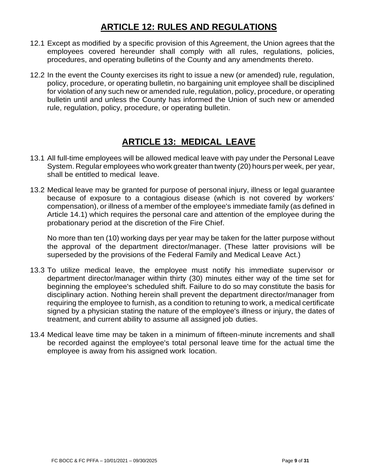## **12 ARTICLE 12: RULES AND REGULATIONS**

- 12.1 Except as modified by a specific provision of this Agreement, the Union agrees that the employees covered hereunder shall comply with all rules, regulations, policies, procedures, and operating bulletins of the County and any amendments thereto.
- 12.2 In the event the County exercises its right to issue a new (or amended) rule, regulation, policy, procedure, or operating bulletin, no bargaining unit employee shall be disciplined for violation of any such new or amended rule, regulation, policy, procedure, or operating bulletin until and unless the County has informed the Union of such new or amended rule, regulation, policy, procedure, or operating bulletin.

## **13 ARTICLE 13: MEDICAL LEAVE**

- <span id="page-8-0"></span>13.1 All full-time employees will be allowed medical leave with pay under the Personal Leave System. Regular employees who work greater than twenty (20) hours per week, per year, shall be entitled to medical leave.
- 13.2 Medical leave may be granted for purpose of personal injury, illness or legal guarantee because of exposure to a contagious disease (which is not covered by workers' compensation), or illness of a member of the employee's immediate family (as defined in Article 14.1) which requires the personal care and attention of the employee during the probationary period at the discretion of the Fire Chief.

No more than ten (10) working days per year may be taken for the latter purpose without the approval of the department director/manager. (These latter provisions will be superseded by the provisions of the Federal Family and Medical Leave Act.)

- 13.3 To utilize medical leave, the employee must notify his immediate supervisor or department director/manager within thirty (30) minutes either way of the time set for beginning the employee's scheduled shift. Failure to do so may constitute the basis for disciplinary action. Nothing herein shall prevent the department director/manager from requiring the employee to furnish, as a condition to retuning to work, a medical certificate signed by a physician stating the nature of the employee's illness or injury, the dates of treatment, and current ability to assume all assigned job duties.
- <span id="page-8-1"></span>13.4 Medical leave time may be taken in a minimum of fifteen-minute increments and shall be recorded against the employee's total personal leave time for the actual time the employee is away from his assigned work location.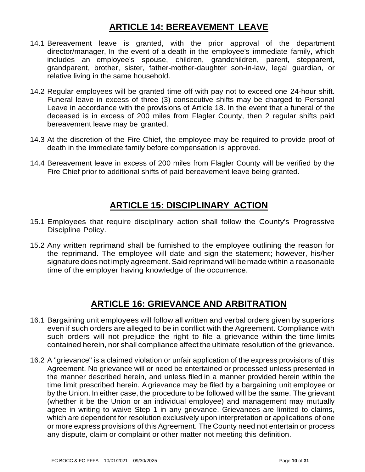## **14 ARTICLE 14: BEREAVEMENT LEAVE**

- 14.1 Bereavement leave is granted, with the prior approval of the department director/manager, In the event of a death in the employee's immediate family, which includes an employee's spouse, children, grandchildren, parent, stepparent, grandparent, brother, sister, father-mother-daughter son-in-law, legal guardian, or relative living in the same household.
- 14.2 Regular employees will be granted time off with pay not to exceed one 24-hour shift. Funeral leave in excess of three (3) consecutive shifts may be charged to Personal Leave in accordance with the provisions of Article 18. In the event that a funeral of the deceased is in excess of 200 miles from Flagler County, then 2 regular shifts paid bereavement leave may be granted.
- 14.3 At the discretion of the Fire Chief, the employee may be required to provide proof of death in the immediate family before compensation is approved.
- <span id="page-9-0"></span>14.4 Bereavement leave in excess of 200 miles from Flagler County will be verified by the Fire Chief prior to additional shifts of paid bereavement leave being granted.

### **15 ARTICLE 15: DISCIPLINARY ACTION**

- 15.1 Employees that require disciplinary action shall follow the County's Progressive Discipline Policy.
- <span id="page-9-1"></span>15.2 Any written reprimand shall be furnished to the employee outlining the reason for the reprimand. The employee will date and sign the statement; however, his/her signature does not imply agreement. Said reprimand will be made within a reasonable time of the employer having knowledge of the occurrence.

## **16 ARTICLE 16: GRIEVANCE AND ARBITRATION**

- 16.1 Bargaining unit employees will follow all written and verbal orders given by superiors even if such orders are alleged to be in conflict with the Agreement. Compliance with such orders will not prejudice the right to file a grievance within the time limits contained herein, nor shall compliance affect the ultimate resolution of the grievance.
- 16.2 A "grievance" is a claimed violation or unfair application of the express provisions of this Agreement. No grievance will or need be entertained or processed unless presented in the manner described herein, and unless filed in a manner provided herein within the time limit prescribed herein. Agrievance may be filed by a bargaining unit employee or by the Union. In either case, the procedure to be followed will be the same. The grievant (whether it be the Union or an individual employee) and management may mutually agree in writing to waive Step 1 in any grievance. Grievances are limited to claims, which are dependent for resolution exclusively upon interpretation or applications of one or more express provisions of this Agreement. The County need not entertain or process any dispute, claim or complaint or other matter not meeting this definition.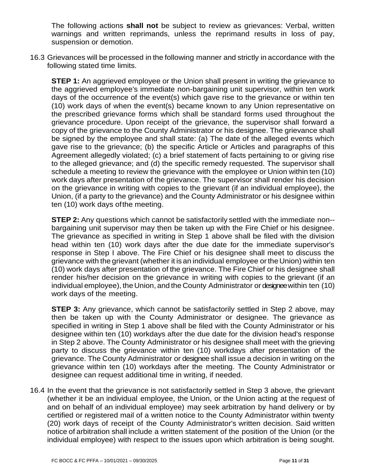The following actions **shall not** be subject to review as grievances: Verbal, written warnings and written reprimands, unless the reprimand results in loss of pay, suspension or demotion.

16.3 Grievances will be processed in the following manner and strictly in accordance with the following stated time limits.

**STEP 1:** An aggrieved employee or the Union shall present in writing the grievance to the aggrieved employee's immediate non-bargaining unit supervisor, within ten work days of the occurrence of the event(s) which gave rise to the grievance or within ten (10) work days of when the event(s) became known to any Union representative on the prescribed grievance forms which shall be standard forms used throughout the grievance procedure. Upon receipt of the grievance, the supervisor shall forward a copy of the grievance to the County Administrator or his designee. The grievance shall be signed by the employee and shall state: (a) The date of the alleged events which gave rise to the grievance; (b) the specific Article or Articles and paragraphs of this Agreement allegedly violated; (c) a brief statement of facts pertaining to or giving rise to the alleged grievance; and (d) the specific remedy requested. The supervisor shall schedule a meeting to review the grievance with the employee or Union within ten (10) work days after presentation of the grievance. The supervisor shall render his decision on the grievance in writing with copies to the grievant (if an individual employee), the Union, (if a party to the grievance) and the County Administrator or his designee within ten (10) work days ofthe meeting.

**STEP 2:** Any questions which cannot be satisfactorily settled with the immediate non- bargaining unit supervisor may then be taken up with the Fire Chief or his designee. The grievance as specified in writing in Step 1 above shall be filed with the division head within ten (10) work days after the due date for the immediate supervisor's response in Step I above. The Fire Chief or his designee shall meet to discuss the grievance with the grievant (whether it is an individual employee orthe Union) within ten (10) work days after presentation of the grievance. The Fire Chief or his designee shall render his/her decision on the grievance in writing with copies to the grievant (if an individual employee), the Union, and the County Administrator or designeewithin ten (10) work days of the meeting.

**STEP 3:** Any grievance, which cannot be satisfactorily settled in Step 2 above, may then be taken up with the County Administrator or designee. The grievance as specified in writing in Step 1 above shall be filed with the County Administrator or his designee within ten (10) workdays after the due date for the division head's response in Step 2 above. The County Administrator or his designee shall meet with the grieving party to discuss the grievance within ten (10) workdays after presentation of the grievance. The County Administrator or designee shall issue a decision in writing on the grievance within ten (10) workdays after the meeting. The County Administrator or designee can request additional time in writing, if needed.

16.4 In the event that the grievance is not satisfactorily settled in Step 3 above, the grievant (whether it be an individual employee, the Union, or the Union acting at the request of and on behalf of an individual employee) may seek arbitration by hand delivery or by certified or registered mail of a written notice to the County Administrator within twenty (20) work days of receipt of the County Administrator's written decision. Said written notice of arbitration shall include a written statement of the position of the Union (or the individual employee) with respect to the issues upon which arbitration is being sought.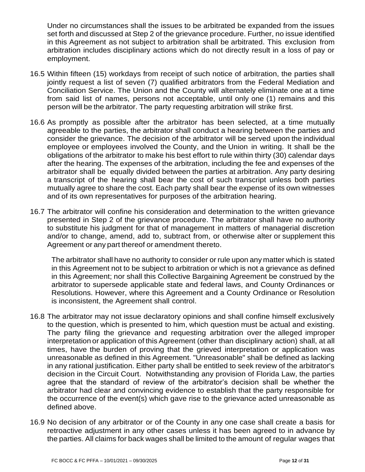Under no circumstances shall the issues to be arbitrated be expanded from the issues set forth and discussed at Step 2 of the grievance procedure. Further, no issue identified in this Agreement as not subject to arbitration shall be arbitrated. This exclusion from arbitration includes disciplinary actions which do not directly result in a loss of pay or employment.

- 16.5 Within fifteen (15) workdays from receipt of such notice of arbitration, the parties shall jointly request a list of seven (7) qualified arbitrators from the Federal Mediation and Conciliation Service. The Union and the County will alternately eliminate one at a time from said list of names, persons not acceptable, until only one (1) remains and this person will be the arbitrator. The party requesting arbitration will strike first.
- 16.6 As promptly as possible after the arbitrator has been selected, at a time mutually agreeable to the parties, the arbitrator shall conduct a hearing between the parties and consider the grievance. The decision of the arbitrator will be served upon the individual employee or employees involved the County, and the Union in writing. It shall be the obligations of the arbitrator to make his best effort to rule within thirty (30) calendar days after the hearing. The expenses of the arbitration, including the fee and expenses of the arbitrator shall be equally divided between the parties at arbitration. Any party desiring a transcript of the hearing shall bear the cost of such transcript unless both parties mutually agree to share the cost. Each party shall bear the expense of its own witnesses and of its own representatives for purposes of the arbitration hearing.
- 16.7 The arbitrator will confine his consideration and determination to the written grievance presented in Step 2 of the grievance procedure. The arbitrator shall have no authority to substitute his judgment for that of management in matters of managerial discretion and/or to change, amend, add to, subtract from, or otherwise alter or supplement this Agreement or any part thereof or amendment thereto.

The arbitrator shall have no authority to consider or rule upon any matter which is stated in this Agreement not to be subject to arbitration or which is not a grievance as defined in this Agreement; nor shall this Collective Bargaining Agreement be construed by the arbitrator to supersede applicable state and federal laws, and County Ordinances or Resolutions. However, where this Agreement and a County Ordinance or Resolution is inconsistent, the Agreement shall control.

- 16.8 The arbitrator may not issue declaratory opinions and shall confine himself exclusively to the question, which is presented to him, which question must be actual and existing. The party filing the grievance and requesting arbitration over the alleged improper interpretation or application of this Agreement (other than disciplinary action) shall, at all times, have the burden of proving that the grieved interpretation or application was unreasonable as defined in this Agreement. "Unreasonable" shall be defined as lacking in any rational justification. Either party shall be entitled to seek review of the arbitrator's decision in the Circuit Court. Notwithstanding any provision of Florida Law, the parties agree that the standard of review of the arbitrator's decision shall be whether the arbitrator had clear and convincing evidence to establish that the party responsible for the occurrence of the event(s) which gave rise to the grievance acted unreasonable as defined above.
- 16.9 No decision of any arbitrator or of the County in any one case shall create a basis for retroactive adjustment in any other cases unless it has been agreed to in advance by the parties. All claims for back wages shall be limited to the amount of regular wages that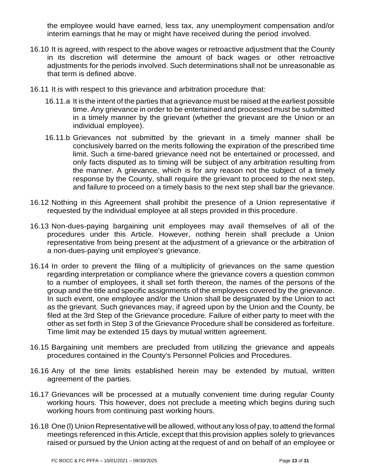the employee would have earned, less tax, any unemployment compensation and/or interim earnings that he may or might have received during the period involved.

- 16.10 It is agreed, with respect to the above wages or retroactive adjustment that the County in its discretion will determine the amount of back wages or other retroactive adjustments for the periods involved. Such determinations shall not be unreasonable as that term is defined above.
- 16.11 It is with respect to this grievance and arbitration procedure that:
	- 16.11.a It is the intent of the parties that a grievance must be raised at the earliest possible time. Any grievance in order to be entertained and processed must be submitted in a timely manner by the grievant (whether the grievant are the Union or an individual employee).
	- 16.11.b Grievances not submitted by the grievant in a timely manner shall be conclusively barred on the merits following the expiration of the prescribed time limit. Such a time-bared grievance need not be entertained or processed, and only facts disputed as to timing will be subject of any arbitration resulting from the manner. A grievance, which is for any reason not the subject of a timely response by the County, shall require the grievant to proceed to the next step, and failure to proceed on a timely basis to the next step shall bar the grievance.
- 16.12 Nothing in this Agreement shall prohibit the presence of a Union representative if requested by the individual employee at all steps provided in this procedure.
- 16.13 Non-dues-paying bargaining unit employees may avail themselves of all of the procedures under this Article. However, nothing herein shall preclude a Union representative from being present at the adjustment of a grievance or the arbitration of a non-dues-paying unit employee's grievance.
- 16.14 In order to prevent the filing of a multiplicity of grievances on the same question regarding interpretation or compliance where the grievance covers a question common to a number of employees, it shall set forth thereon, the names of the persons of the group and the title and specific assignments of the employees covered by the grievance. In such event, one employee and/or the Union shall be designated by the Union to act as the grievant. Such grievances may, if agreed upon by the Union and the County, be filed at the 3rd Step of the Grievance procedure. Failure of either party to meet with the other as set forth in Step 3 of the Grievance Procedure shall be considered as forfeiture. Time limit may be extended 15 days by mutual written agreement.
- 16.15 Bargaining unit members are precluded from utilizing the grievance and appeals procedures contained in the County's Personnel Policies and Procedures.
- 16.16 Any of the time limits established herein may be extended by mutual, written agreement of the parties.
- 16.17 Grievances will be processed at a mutually convenient time during regular County working hours. This however, does not preclude a meeting which begins during such working hours from continuing past working hours.
- 16.18 One (I) Union Representative will be allowed, without any loss of pay, to attend the formal meetings referenced in this Article, except that this provision applies solely to grievances raised or pursued by the Union acting at the request of and on behalf of an employee or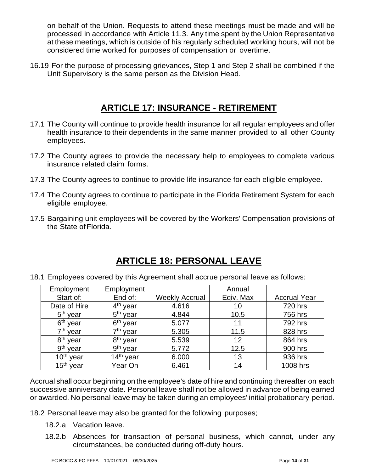on behalf of the Union. Requests to attend these meetings must be made and will be processed in accordance with Article 11.3. Any time spent by the Union Representative at these meetings, which is outside of his regularly scheduled working hours, will not be considered time worked for purposes of compensation or overtime.

<span id="page-13-0"></span>16.19 For the purpose of processing grievances, Step 1 and Step 2 shall be combined if the Unit Supervisory is the same person as the Division Head.

#### **17 ARTICLE 17: INSURANCE - RETIREMENT**

- 17.1 The County will continue to provide health insurance for all regular employees and offer health insurance to their dependents in the same manner provided to all other County employees.
- 17.2 The County agrees to provide the necessary help to employees to complete various insurance related claim forms.
- 17.3 The County agrees to continue to provide life insurance for each eligible employee.
- 17.4 The County agrees to continue to participate in the Florida Retirement System for each eligible employee.
- <span id="page-13-1"></span>17.5 Bargaining unit employees will be covered by the Workers' Compensation provisions of the State of Florida.

## **18 ARTICLE 18: PERSONAL LEAVE**

18.1 Employees covered by this Agreement shall accrue personal leave as follows:

| Employment              | Employment           |                       | Annual    |                     |
|-------------------------|----------------------|-----------------------|-----------|---------------------|
| Start of:               | End of:              | <b>Weekly Accrual</b> | Eqiv. Max | <b>Accrual Year</b> |
| Date of Hire            | 4 <sup>th</sup> year | 4.616                 | 10        | 720 hrs             |
| $5th$ year              | 5 <sup>th</sup> year | 4.844                 | 10.5      | 756 hrs             |
| 6 <sup>th</sup> year    | 6 <sup>th</sup> year | 5.077                 | 11        | 792 hrs             |
| 7 <sup>th</sup> year    | 7 <sup>th</sup> year | 5.305                 | 11.5      | 828 hrs             |
| 8 <sup>th</sup> year    | 8 <sup>th</sup> year | 5.539                 | 12        | 864 hrs             |
| 9 <sup>th</sup><br>vear | 9 <sup>th</sup> year | 5.772                 | 12.5      | 900 hrs             |
| $10th$ year             | $14th$ year          | 6.000                 | 13        | 936 hrs             |
| 15 <sup>th</sup> year   | Year On              | 6.461                 | 14        | 1008 hrs            |

Accrual shall occur beginning on the employee's date of hire and continuing thereafter on each successive anniversary date. Personal leave shall not be allowed in advance of being earned or awarded. No personal leave may be taken during an employees' initial probationary period.

18.2 Personal leave may also be granted for the following purposes;

- 18.2.a Vacation leave.
- 18.2.b Absences for transaction of personal business, which cannot, under any circumstances, be conducted during off-duty hours.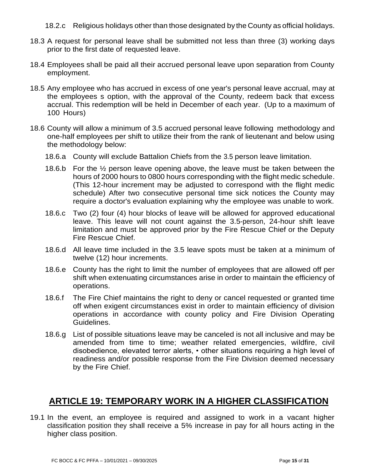- 18.2.c Religious holidays other than those designated by the County as official holidays.
- 18.3 A request for personal leave shall be submitted not less than three (3) working days prior to the first date of requested leave.
- 18.4 Employees shall be paid all their accrued personal leave upon separation from County employment.
- 18.5 Any employee who has accrued in excess of one year's personal leave accrual, may at the employees s option, with the approval of the County, redeem back that excess accrual. This redemption will be held in December of each year. (Up to a maximum of 100 Hours)
- 18.6 County will allow a minimum of 3.5 accrued personal leave following methodology and one-half employees per shift to utilize their from the rank of lieutenant and below using the methodology below:
	- 18.6.a County will exclude Battalion Chiefs from the 3.5 person leave limitation.
	- 18.6.b For the ½ person leave opening above, the leave must be taken between the hours of 2000 hours to 0800 hours corresponding with the flight medic schedule. (This 12-hour increment may be adjusted to correspond with the flight medic schedule) After two consecutive personal time sick notices the County may require a doctor's evaluation explaining why the employee was unable to work.
	- 18.6.c Two (2) four (4) hour blocks of leave will be allowed for approved educational leave. This leave will not count against the 3.5-person, 24-hour shift leave limitation and must be approved prior by the Fire Rescue Chief or the Deputy Fire Rescue Chief.
	- 18.6.d All leave time included in the 3.5 leave spots must be taken at a minimum of twelve (12) hour increments.
	- 18.6.e County has the right to limit the number of employees that are allowed off per shift when extenuating circumstances arise in order to maintain the efficiency of operations.
	- 18.6.f The Fire Chief maintains the right to deny or cancel requested or granted time off when exigent circumstances exist in order to maintain efficiency of division operations in accordance with county policy and Fire Division Operating Guidelines.
	- 18.6.g List of possible situations leave may be canceled is not all inclusive and may be amended from time to time; weather related emergencies, wildfire, civil disobedience, elevated terror alerts, • other situations requiring a high level of readiness and/or possible response from the Fire Division deemed necessary by the Fire Chief.

#### <span id="page-14-0"></span>**19 ARTICLE 19: TEMPORARY WORK IN A HIGHER CLASSIFICATION**

19.1 In the event, an employee is required and assigned to work in a vacant higher classification position they shall receive a 5% increase in pay for all hours acting in the higher class position.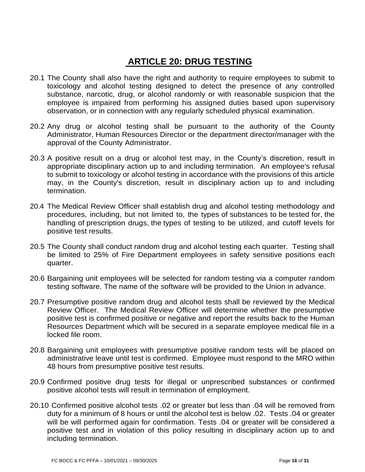## <span id="page-15-0"></span>**20 ARTICLE 20: DRUG TESTING**

- 20.1 The County shall also have the right and authority to require employees to submit to toxicology and alcohol testing designed to detect the presence of any controlled substance, narcotic, drug, or alcohol randomly or with reasonable suspicion that the employee is impaired from performing his assigned duties based upon supervisory observation, or in connection with any regularly scheduled physical examination.
- 20.2 Any drug or alcohol testing shall be pursuant to the authority of the County Administrator, Human Resources Director or the department director/manager with the approval of the County Administrator.
- 20.3 A positive result on a drug or alcohol test may, in the County's discretion, result in appropriate disciplinary action up to and including termination. An employee's refusal to submit to toxicology or alcohol testing in accordance with the provisions of this article may, in the County's discretion, result in disciplinary action up to and including termination.
- 20.4 The Medical Review Officer shall establish drug and alcohol testing methodology and procedures, including, but not limited to, the types of substances to be tested for, the handling of prescription drugs, the types of testing to be utilized, and cutoff levels for positive test results.
- 20.5 The County shall conduct random drug and alcohol testing each quarter. Testing shall be limited to 25% of Fire Department employees in safety sensitive positions each quarter.
- 20.6 Bargaining unit employees will be selected for random testing via a computer random testing software. The name of the software will be provided to the Union in advance.
- 20.7 Presumptive positive random drug and alcohol tests shall be reviewed by the Medical Review Officer. The Medical Review Officer will determine whether the presumptive positive test is confirmed positive or negative and report the results back to the Human Resources Department which will be secured in a separate employee medical file in a locked file room.
- 20.8 Bargaining unit employees with presumptive positive random tests will be placed on administrative leave until test is confirmed. Employee must respond to the MRO within 48 hours from presumptive positive test results.
- 20.9 Confirmed positive drug tests for illegal or unprescribed substances or confirmed positive alcohol tests will result in termination of employment.
- 20.10 Confirmed positive alcohol tests .02 or greater but less than .04 will be removed from duty for a minimum of 8 hours or until the alcohol test is below .02. Tests .04 or greater will be will performed again for confirmation. Tests .04 or greater will be considered a positive test and in violation of this policy resulting in disciplinary action up to and including termination.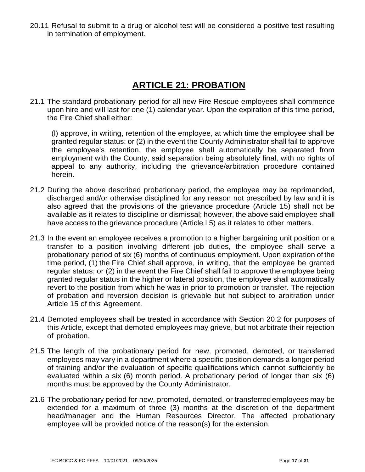<span id="page-16-0"></span>20.11 Refusal to submit to a drug or alcohol test will be considered a positive test resulting in termination of employment.

## **21 ARTICLE 21: PROBATION**

21.1 The standard probationary period for all new Fire Rescue employees shall commence upon hire and will last for one (1) calendar year. Upon the expiration of this time period, the Fire Chief shall either:

(l) approve, in writing, retention of the employee, at which time the employee shall be granted regular status: or (2) in the event the County Administrator shall fail to approve the employee's retention, the employee shall automatically be separated from employment with the County, said separation being absolutely final, with no rights of appeal to any authority, including the grievance/arbitration procedure contained herein.

- 21.2 During the above described probationary period, the employee may be reprimanded, discharged and/or otherwise disciplined for any reason not prescribed by law and it is also agreed that the provisions of the grievance procedure (Article 15) shall not be available as it relates to discipline or dismissal; however, the above said employee shall have access to the grievance procedure (Article I 5) as it relates to other matters.
- 21.3 In the event an employee receives a promotion to a higher bargaining unit position or a transfer to a position involving different job duties, the employee shall serve a probationary period of six (6) months of continuous employment. Upon expiration of the time period, (1) the Fire Chief shall approve, in writing, that the employee be granted regular status; or (2) in the event the Fire Chief shall fail to approve the employee being granted regular status in the higher or lateral position, the employee shall automatically revert to the position from which he was in prior to promotion or transfer. The rejection of probation and reversion decision is grievable but not subject to arbitration under Article 15 of this Agreement.
- 21.4 Demoted employees shall be treated in accordance with Section 20.2 for purposes of this Article, except that demoted employees may grieve, but not arbitrate their rejection of probation.
- 21.5 The length of the probationary period for new, promoted, demoted, or transferred employees may vary in a department where a specific position demands a longer period of training and/or the evaluation of specific qualifications which cannot sufficiently be evaluated within a six (6) month period. A probationary period of longer than six (6) months must be approved by the County Administrator.
- 21.6 The probationary period for new, promoted, demoted, or transferred employees may be extended for a maximum of three (3) months at the discretion of the department head/manager and the Human Resources Director. The affected probationary employee will be provided notice of the reason(s) for the extension.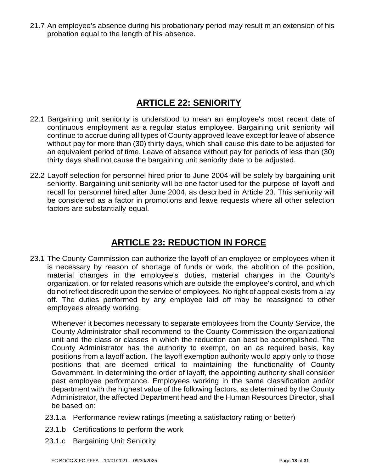<span id="page-17-0"></span>21.7 An employee's absence during his probationary period may result m an extension of his probation equal to the length of his absence.

## **22 ARTICLE 22: SENIORITY**

- 22.1 Bargaining unit seniority is understood to mean an employee's most recent date of continuous employment as a regular status employee. Bargaining unit seniority will continue to accrue during all types of County approved leave except for leave of absence without pay for more than (30) thirty days, which shall cause this date to be adjusted for an equivalent period of time. Leave of absence without pay for periods of less than (30) thirty days shall not cause the bargaining unit seniority date to be adjusted.
- 22.2 Layoff selection for personnel hired prior to June 2004 will be solely by bargaining unit seniority. Bargaining unit seniority will be one factor used for the purpose of layoff and recall for personnel hired after June 2004, as described in Article 23. This seniority will be considered as a factor in promotions and leave requests where all other selection factors are substantially equal.

## **23 ARTICLE 23: REDUCTION IN FORCE**

<span id="page-17-1"></span>23.1 The County Commission can authorize the layoff of an employee or employees when it is necessary by reason of shortage of funds or work, the abolition of the position, material changes in the employee's duties, material changes in the County's organization, or for related reasons which are outside the employee's control, and which do notreflect discredit upon the service of employees. No right of appeal exists from a lay off. The duties performed by any employee laid off may be reassigned to other employees already working.

Whenever it becomes necessary to separate employees from the County Service, the County Administrator shall recommend to the County Commission the organizational unit and the class or classes in which the reduction can best be accomplished. The County Administrator has the authority to exempt, on an as required basis, key positions from a layoff action. The layoff exemption authority would apply only to those positions that are deemed critical to maintaining the functionality of County Government. In determining the order of layoff, the appointing authority shall consider past employee performance. Employees working in the same classification and/or department with the highest value of the following factors, as determined by the County Administrator, the affected Department head and the Human Resources Director, shall be based on:

- 23.1.a Performance review ratings (meeting a satisfactory rating or better)
- 23.1.b Certifications to perform the work
- 23.1.c Bargaining Unit Seniority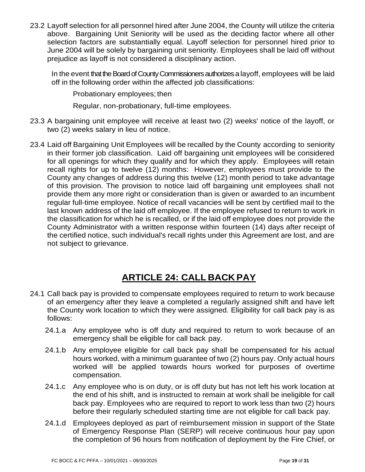23.2 Layoff selection for all personnel hired after June 2004, the County will utilize the criteria above. Bargaining Unit Seniority will be used as the deciding factor where all other selection factors are substantially equal. Layoff selection for personnel hired prior to June 2004 will be solely by bargaining unit seniority. Employees shall be laid off without prejudice as layoff is not considered a disciplinary action.

In the event that the Board of County Commissioners authorizes a layoff, employees will be laid off in the following order within the affected job classifications:

Probationary employees; then

Regular, non-probationary, full-time employees.

- 23.3 A bargaining unit employee will receive at least two (2) weeks' notice of the layoff, or two (2) weeks salary in lieu of notice.
- 23.4 Laid off Bargaining Unit Employees will be recalled by the County according to seniority in their former job classification. Laid off bargaining unit employees will be considered for all openings for which they qualify and for which they apply. Employees will retain recall rights for up to twelve (12) months: However, employees must provide to the County any changes of address during this twelve (12) month period to take advantage of this provision. The provision to notice laid off bargaining unit employees shall not provide them any more right or consideration than is given or awarded to an incumbent regular full-time employee. Notice of recall vacancies will be sent by certified mail to the last known address of the laid off employee. If the employee refused to return to work in the classification for which he is recalled, or if the laid off employee does not provide the County Administrator with a written response within fourteen (14) days after receipt of the certified notice, such individual's recall rights under this Agreement are lost, and are not subject to grievance.

## **24 ARTICLE 24: CALL BACK PAY**

- <span id="page-18-0"></span>24.1 Call back pay is provided to compensate employees required to return to work because of an emergency after they leave a completed a regularly assigned shift and have left the County work location to which they were assigned. Eligibility for call back pay is as follows:
	- 24.1.a Any employee who is off duty and required to return to work because of an emergency shall be eligible for call back pay.
	- 24.1.b Any employee eligible for call back pay shall be compensated for his actual hours worked, with a minimum guarantee of two (2) hours pay. Only actual hours worked will be applied towards hours worked for purposes of overtime compensation.
	- 24.1.c Any employee who is on duty, or is off duty but has not left his work location at the end of his shift, and is instructed to remain at work shall be ineligible for call back pay. Employees who are required to report to work less than two (2) hours before their regularly scheduled starting time are not eligible for call back pay.
	- 24.1.d Employees deployed as part of reimbursement mission in support of the State of Emergency Response Plan (SERP) will receive continuous hour pay upon the completion of 96 hours from notification of deployment by the Fire Chief, or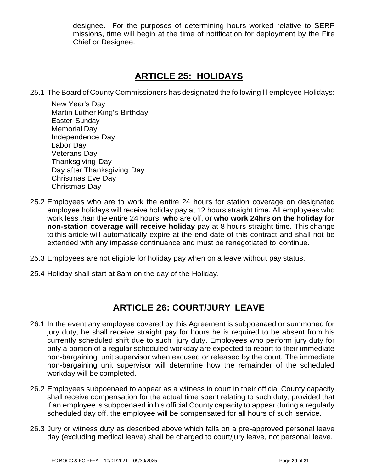designee. For the purposes of determining hours worked relative to SERP missions, time will begin at the time of notification for deployment by the Fire Chief or Designee.

## **25 ARTICLE 25: HOLIDAYS**

<span id="page-19-0"></span>25.1 The Board of County Commissioners has designated the following II employee Holidays:

New Year's Day Martin Luther King's Birthday Easter Sunday Memorial Day Independence Day Labor Day Veterans Day Thanksgiving Day Day after Thanksgiving Day Christmas Eve Day Christmas Day

- 25.2 Employees who are to work the entire 24 hours for station coverage on designated employee holidays will receive holiday pay at 12 hours straight time. All employees who work less than the entire 24 hours, **who** are off, or **who work 24hrs on the holiday for non-station coverage will receive holiday** pay at 8 hours straight time. This change to this article will automatically expire at the end date of this contract and shall not be extended with any impasse continuance and must be renegotiated to continue.
- 25.3 Employees are not eligible for holiday pay when on a leave without pay status.
- <span id="page-19-1"></span>25.4 Holiday shall start at 8am on the day of the Holiday.

## **26 ARTICLE 26: COURT/JURY LEAVE**

- 26.1 In the event any employee covered by this Agreement is subpoenaed or summoned for jury duty, he shall receive straight pay for hours he is required to be absent from his currently scheduled shift due to such jury duty. Employees who perform jury duty for only a portion of a regular scheduled workday are expected to report to their immediate non-bargaining unit supervisor when excused or released by the court. The immediate non-bargaining unit supervisor will determine how the remainder of the scheduled workday will be completed.
- 26.2 Employees subpoenaed to appear as a witness in court in their official County capacity shall receive compensation for the actual time spent relating to such duty; provided that if an employee is subpoenaed in his official County capacity to appear during a regularly scheduled day off, the employee will be compensated for all hours of such service.
- 26.3 Jury or witness duty as described above which falls on a pre-approved personal leave day (excluding medical leave) shall be charged to court/jury leave, not personal leave.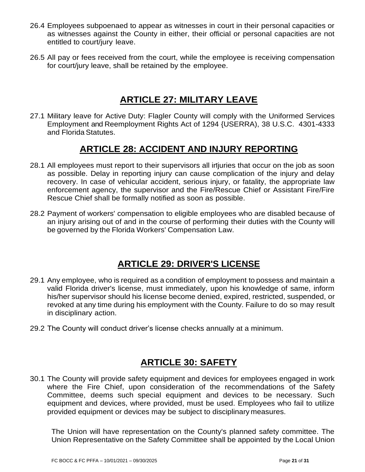- 26.4 Employees subpoenaed to appear as witnesses in court in their personal capacities or as witnesses against the County in either, their official or personal capacities are not entitled to court/jury leave.
- <span id="page-20-0"></span>26.5 All pay or fees received from the court, while the employee is receiving compensation for court/jury leave, shall be retained by the employee.

### **27 ARTICLE 27: MILITARY LEAVE**

27.1 Military leave for Active Duty: Flagler County will comply with the Uniformed Services Employment and Reemployment Rights Act of 1294 {USERRA), 38 U.S.C. 4301-4333 and Florida Statutes.

## **28 ARTICLE 28: ACCIDENT AND INJURY REPORTING**

- <span id="page-20-1"></span>28.1 All employees must report to their supervisors all injuries that occur on the job as soon as possible. Delay in reporting injury can cause complication of the injury and delay recovery. In case of vehicular accident, serious injury, or fatality, the appropriate law enforcement agency, the supervisor and the Fire/Rescue Chief or Assistant Fire/Fire Rescue Chief shall be formally notified as soon as possible.
- <span id="page-20-2"></span>28.2 Payment of workers' compensation to eligible employees who are disabled because of an injury arising out of and in the course of performing their duties with the County will be governed by the Florida Workers' Compensation Law.

#### **29 ARTICLE 29: DRIVER'S LICENSE**

- 29.1 Any employee, who is required as a condition of employment to possess and maintain a valid Florida driver's license, must immediately, upon his knowledge of same, inform his/her supervisor should his license become denied, expired, restricted, suspended, or revoked at any time during his employment with the County. Failure to do so may result in disciplinary action.
- <span id="page-20-3"></span>29.2 The County will conduct driver's license checks annually at a minimum.

## **30 ARTICLE 30: SAFETY**

30.1 The County will provide safety equipment and devices for employees engaged in work where the Fire Chief, upon consideration of the recommendations of the Safety Committee, deems such special equipment and devices to be necessary. Such equipment and devices, where provided, must be used. Employees who fail to utilize provided equipment or devices may be subject to disciplinary measures.

The Union will have representation on the County's planned safety committee. The Union Representative on the Safety Committee shall be appointed by the Local Union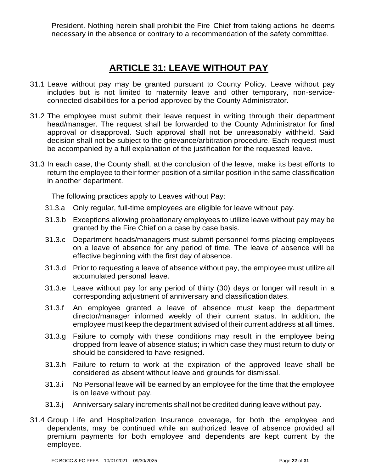<span id="page-21-0"></span>President. Nothing herein shall prohibit the Fire Chief from taking actions he deems necessary in the absence or contrary to a recommendation of the safety committee.

## **31 ARTICLE 31: LEAVE WITHOUT PAY**

- 31.1 Leave without pay may be granted pursuant to County Policy. Leave without pay includes but is not limited to maternity leave and other temporary, non-serviceconnected disabilities for a period approved by the County Administrator.
- 31.2 The employee must submit their leave request in writing through their department head/manager. The request shall be forwarded to the County Administrator for final approval or disapproval. Such approval shall not be unreasonably withheld. Said decision shall not be subject to the grievance/arbitration procedure. Each request must be accompanied by a full explanation of the justification for the requested leave.
- 31.3 In each case, the County shall, at the conclusion of the leave, make its best efforts to return the employee to their former position of a similar position in the same classification in another department.

The following practices apply to Leaves without Pay:

- 31.3.a Only regular, full-time employees are eligible for leave without pay.
- 31.3.b Exceptions allowing probationary employees to utilize leave without pay may be granted by the Fire Chief on a case by case basis.
- 31.3.c Department heads/managers must submit personnel forms placing employees on a leave of absence for any period of time. The leave of absence will be effective beginning with the first day of absence.
- 31.3.d Prior to requesting a leave of absence without pay, the employee must utilize all accumulated personal leave.
- 31.3.e Leave without pay for any period of thirty (30) days or longer will result in a corresponding adjustment of anniversary and classificationdates.
- 31.3.f An employee granted a leave of absence must keep the department director/manager informed weekly of their current status. In addition, the employee must keep the department advised of their current address at all times.
- 31.3.g Failure to comply with these conditions may result in the employee being dropped from leave of absence status; in which case they must return to duty or should be considered to have resigned.
- 31.3.h Failure to return to work at the expiration of the approved leave shall be considered as absent without leave and grounds for dismissal.
- 31.3.i No Personal leave will be earned by an employee for the time that the employee is on leave without pay.
- 31.3.j Anniversary salary increments shall not be credited during leave without pay.
- 31.4 Group Life and Hospitalization Insurance coverage, for both the employee and dependents, may be continued while an authorized leave of absence provided all premium payments for both employee and dependents are kept current by the employee.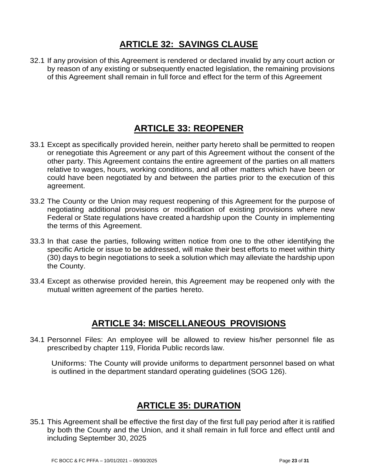## **32 ARTICLE 32: SAVINGS CLAUSE**

<span id="page-22-1"></span><span id="page-22-0"></span>32.1 If any provision of this Agreement is rendered or declared invalid by any court action or by reason of any existing or subsequently enacted legislation, the remaining provisions of this Agreement shall remain in full force and effect for the term of this Agreement

## **33 ARTICLE 33: REOPENER**

- 33.1 Except as specifically provided herein, neither party hereto shall be permitted to reopen or renegotiate this Agreement or any part of this Agreement without the consent of the other party. This Agreement contains the entire agreement of the parties on all matters relative to wages, hours, working conditions, and all other matters which have been or could have been negotiated by and between the parties prior to the execution of this agreement.
- 33.2 The County or the Union may request reopening of this Agreement for the purpose of negotiating additional provisions or modification of existing provisions where new Federal or State regulations have created a hardship upon the County in implementing the terms of this Agreement.
- 33.3 In that case the parties, following written notice from one to the other identifying the specific Article or issue to be addressed, will make their best efforts to meet within thirty (30) days to begin negotiations to seek a solution which may alleviate the hardship upon the County.
- <span id="page-22-2"></span>33.4 Except as otherwise provided herein, this Agreement may be reopened only with the mutual written agreement of the parties hereto.

#### **34 ARTICLE 34: MISCELLANEOUS PROVISIONS**

34.1 Personnel Files: An employee will be allowed to review his/her personnel file as prescribed by chapter 119, Florida Public records law.

Uniforms: The County will provide uniforms to department personnel based on what is outlined in the department standard operating guidelines (SOG 126).

## <span id="page-22-3"></span>**35 ARTICLE 35: DURATION**

35.1 This Agreement shall be effective the first day of the first full pay period after it is ratified by both the County and the Union, and it shall remain in full force and effect until and including September 30, 2025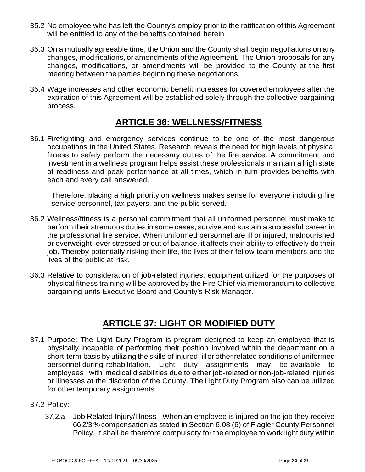- 35.2 No employee who has left the County's employ prior to the ratification of this Agreement will be entitled to any of the benefits contained herein
- 35.3 On a mutually agreeable time, the Union and the County shall begin negotiations on any changes, modifications, or amendments of the Agreement. The Union proposals for any changes, modifications, or amendments will be provided to the County at the first meeting between the parties beginning these negotiations.
- 35.4 Wage increases and other economic benefit increases for covered employees after the expiration of this Agreement will be established solely through the collective bargaining process.

### **36 ARTICLE 36: WELLNESS/FITNESS**

<span id="page-23-0"></span>36.1 Firefighting and emergency services continue to be one of the most dangerous occupations in the United States. Research reveals the need for high levels of physical fitness to safely perform the necessary duties of the fire service. A commitment and investment in a wellness program helps assist these professionals maintain a high state of readiness and peak performance at all times, which in turn provides benefits with each and every call answered.

Therefore, placing a high priority on wellness makes sense for everyone including fire service personnel, tax payers, and the public served.

- 36.2 Wellness/fitness is a personal commitment that all uniformed personnel must make to perform their strenuous duties in some cases, survive and sustain a successful career in the professional fire service. When uniformed personnel are ill or injured, malnourished or overweight, over stressed or out of balance, it affects their ability to effectively do their job. Thereby potentially risking their life, the lives of their fellow team members and the lives of the public at risk.
- 36.3 Relative to consideration of job-related injuries, equipment utilized for the purposes of physical fitness training will be approved by the Fire Chief via memorandum to collective bargaining units Executive Board and County's Risk Manager.

#### **37 ARTICLE 37: LIGHT OR MODIFIED DUTY**

- <span id="page-23-1"></span>37.1 Purpose: The Light Duty Program is program designed to keep an employee that is physically incapable of performing their position involved within the department on a short-term basis by utilizing the skills of injured, illor other related conditions of uniformed personnel during rehabilitation. Light duty assignments may be available to employees with medical disabilities due to either job-related or non-job-related injuries or illnesses at the discretion of the County. The Light Duty Program also can be utilized for other temporary assignments.
- 37.2 Policy:
	- 37.2.a Job Related Injury/Illness When an employee is injured on the job they receive 66 2/3 % compensation as stated in Section 6.08 (6) of Flagler County Personnel Policy. It shall be therefore compulsory for the employee to work light duty within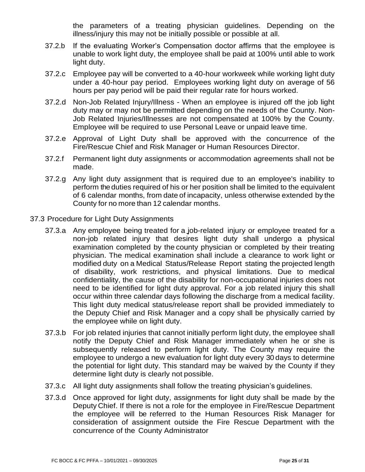the parameters of a treating physician guidelines. Depending on the illness/injury this may not be initially possible or possible at all.

- 37.2.b If the evaluating Worker's Compensation doctor affirms that the employee is unable to work light duty, the employee shall be paid at 100% until able to work light duty.
- 37.2.c Employee pay will be converted to a 40-hour workweek while working light duty under a 40-hour pay period. Employees working light duty on average of 56 hours per pay period will be paid their regular rate for hours worked.
- 37.2.d Non-Job Related Injury/Illness When an employee is injured off the job light duty may or may not be permitted depending on the needs of the County. Non-Job Related Injuries/Illnesses are not compensated at 100% by the County. Employee will be required to use Personal Leave or unpaid leave time.
- 37.2.e Approval of Light Duty shall be approved with the concurrence of the Fire/Rescue Chief and Risk Manager or Human Resources Director.
- 37.2.f Permanent light duty assignments or accommodation agreements shall not be made.
- 37.2.g Any light duty assignment that is required due to an employee's inability to perform the duties required of his or her position shall be limited to the equivalent of 6 calendar months, from date of incapacity, unless otherwise extended by the County for no more than 12 calendar months.
- 37.3 Procedure for Light Duty Assignments
	- 37.3.a Any employee being treated for a job-related injury or employee treated for a non-job related injury that desires light duty shall undergo a physical examination completed by the county physician or completed by their treating physician. The medical examination shall include a clearance to work light or modified duty on a Medical Status/Release Report stating the projected length of disability, work restrictions, and physical limitations. Due to medical confidentiality, the cause of the disability for non-occupational injuries does not need to be identified for light duty approval. For a job related injury this shall occur within three calendar days following the discharge from a medical facility. This light duty medical status/release report shall be provided immediately to the Deputy Chief and Risk Manager and a copy shall be physically carried by the employee while on light duty.
	- 37.3.b For job related injuries that cannot initially perform light duty, the employee shall notify the Deputy Chief and Risk Manager immediately when he or she is subsequently released to perform light duty. The County may require the employee to undergo a new evaluation for light duty every 30 days to determine the potential for light duty. This standard may be waived by the County if they determine light duty is clearly not possible.
	- 37.3.c All light duty assignments shall follow the treating physician's guidelines.
	- 37.3.d Once approved for light duty, assignments for light duty shall be made by the Deputy Chief. If there is not a role for the employee in Fire/Rescue Department the employee will be referred to the Human Resources Risk Manager for consideration of assignment outside the Fire Rescue Department with the concurrence of the County Administrator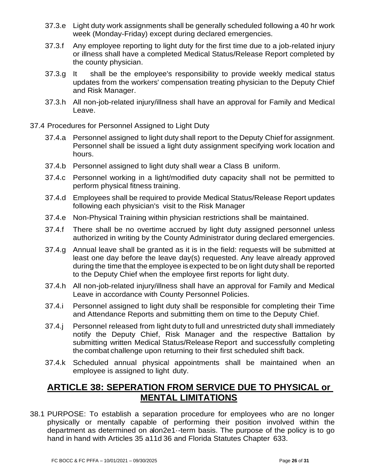- 37.3.e Light duty work assignments shall be generally scheduled following a 40 hr work week (Monday-Friday) except during declared emergencies.
- 37.3.f Any employee reporting to light duty for the first time due to a job-related injury or illness shall have a completed Medical Status/Release Report completed by the county physician.
- 37.3.g It shall be the employee's responsibility to provide weekly medical status updates from the workers' compensation treating physician to the Deputy Chief and Risk Manager.
- 37.3.h All non-job-related injury/illness shall have an approval for Family and Medical Leave.
- 37.4 Procedures for Personnel Assigned to Light Duty
	- 37.4.a Personnel assigned to light duty shall report to the Deputy Chief for assignment. Personnel shall be issued a light duty assignment specifying work location and hours.
	- 37.4.b Personnel assigned to light duty shall wear a Class B uniform.
	- 37.4.c Personnel working in a light/modified duty capacity shall not be permitted to perform physical fitness training.
	- 37.4.d Employees shall be required to provide Medical Status/Release Report updates following each physician's visit to the Risk Manager
	- 37.4.e Non-Physical Training within physician restrictions shall be maintained.
	- 37.4.f There shall be no overtime accrued by light duty assigned personnel unless authorized in writing by the County Administrator during declared emergencies.
	- 37.4.g Annual leave shall be granted as it is in the field: requests will be submitted at least one day before the leave day(s) requested. Any leave already approved during the time that the employee is expected to be on light duty shall be reported to the Deputy Chief when the employee first reports for light duty.
	- 37.4.h All non-job-related injury/illness shall have an approval for Family and Medical Leave in accordance with County Personnel Policies.
	- 37.4.i Personnel assigned to light duty shall be responsible for completing their Time and Attendance Reports and submitting them on time to the Deputy Chief.
	- 37.4.j Personnel released from light duty to full and unrestricted duty shall immediately notify the Deputy Chief, Risk Manager and the respective Battalion by submitting written Medical Status/Release Report and successfully completing the combat challenge upon returning to their first scheduled shift back.
	- 37.4.k Scheduled annual physical appointments shall be maintained when an employee is assigned to light duty.

#### <span id="page-25-0"></span>**38 ARTICLE 38: SEPERATION FROM SERVICE DUE TO PHYSICAL or MENTAL LIMITATIONS**

38.1 PURPOSE: To establish a separation procedure for employees who are no longer physically or mentally capable of performing their position involved within the department as determined on alon2e1-term basis. The purpose of the policy is to go hand in hand with Articles 35 a11d 36 and Florida Statutes Chapter 633.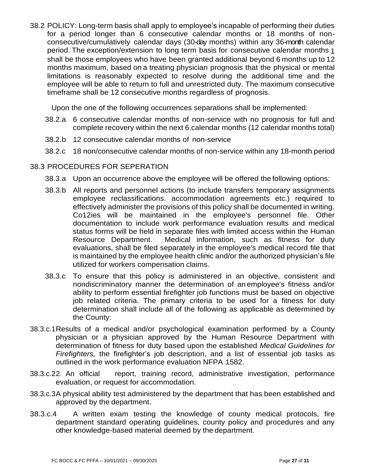38.2 POLICY: Long-term basis shall apply to employee's incapable of performing their duties for a period longer than 6 consecutive calendar months or 18 months of nonconsecutive/cumulatively calendar days (30-day months) within any 36-month calendar period. The exception/extension to long term basis for consecutive calendar months 1 shall be those employees who have been granted additional beyond 6 months up to 12 months maximum, based on a treating physician prognosis that the physical or mental limitations is reasonably expected to resolve during the additional time and the employee will be able to return to full and unrestricted duty. The maximum consecutive timeframe shall be 12 consecutive months regardless of prognosis.

Upon the one of the following occurrences separations shall be implemented:

- 38.2.a 6 consecutive calendar months of non-service with no prognosis for full and complete recovery within the next 6.calendar months (12 calendar months total)
- 38.2.b 12 consecutive calendar months of non-service
- 38.2.c 18 non/consecutive calendar months of non-service within any 18-month period

#### 38.3 PROCEDURES FOR SEPERATION

- 38.3.a Upon an occurrence above the employee will be offered the following options:
- 38.3.b All reports and personnel actions (to include transfers temporary assignments employee reclassifications. accommodation agreements etc.) required to effectively administer the provisions of this policy shall be documented in writing. Co12ies will be maintained in the employee's personnel file. Other documentation to include work performance evaluation results and medical status forms will be held in separate files with limited access within the Human Resource Department. Medical information, such as fitness for duty evaluations, shall be filed separately in the employee's medical record file that is maintained by the employee health clinic and/or the authorized physician's file utilized for workers compensation claims.
- 38.3.c To ensure that this policy is administered in an objective, consistent and nondiscriminatory manner the determination of an employee's fitness and/or ability to perform essential firefighter job functions must be based on objective job related criteria. The primary criteria to be used for a fitness for duty determination shall include all of the following as applicable as determined by the County:
- 38.3.c.1Results of a medical and/or psychological examination performed by a County physician or a physician approved by the Human Resource Department with determination of fitness for duty based upon the established *Medical Guidelines for Firefighters,* the firefighter's job description, and a list of essential job tasks as outlined in the work performance evaluation NFPA 1582.
- 38.3.c.22. An official report, training record, administrative investigation, performance evaluation, or request for accommodation.
- 38.3.c.3A physical ability test administered by the department that has been established and approved by the department.
- 38.3.c.4 A written exam testing the knowledge of county medical protocols, fire department standard operating guidelines, county policy and procedures and any other knowledge-based material deemed by the department.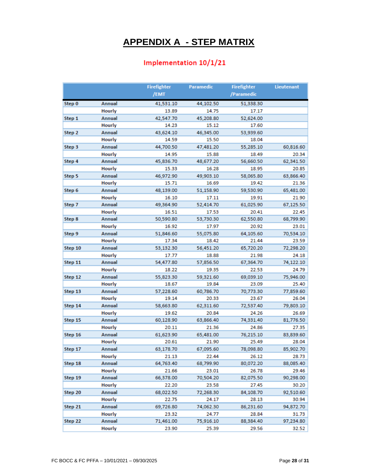## **39 APPENDIX A - STEP MATRIX**

#### Implementation 10/1/21

<span id="page-27-0"></span>

|         |                         | <b>Firefighter</b> | Paramedic          | <b>Firefighter</b> | Lieutenant         |
|---------|-------------------------|--------------------|--------------------|--------------------|--------------------|
|         |                         | /EMT               |                    | /Paramedic         |                    |
| Step 0  | Annual                  | 41,531.10          | 44,102.50          | 51,338.30          |                    |
|         | <b>Hourly</b>           | 13.89              | 14.75              | 17.17              |                    |
| Step 1  | Annual                  | 42,547.70          | 45,208.80          | 52,624.00          |                    |
|         | Hourly                  | 14.23              | 15.12              | 17.60              |                    |
| Step 2  | Annual                  | 43,624.10          | 46,345.00          | 53,939.60          |                    |
|         | Hourly                  | 14.59              | 15.50              | 18.04              |                    |
| Step 3  | <b>Annual</b>           | 44,700.50          | 47,481.20          | 55,285.10          | 60,816.60          |
|         | <b>Hourly</b>           | 14.95              | 15.88              | 18.49              | 20.34              |
| Step 4  | <b>Annual</b>           | 45,836.70          | 48,677.20          | 56,660.50          | 62,341.50          |
|         | Hourly                  | 15.33              | 16.28              | 18.95              | 20.85              |
| Step 5  | Annual                  | 46,972.90          | 49,903.10          | 58,065.80          | 63,866.40          |
|         | Hourly                  | 15.71              | 16.69              | 19.42              | 21.36              |
| Step 6  | <b>Annual</b>           | 48,139.00          | 51,158.90          | 59,530.90          | 65,481.00          |
|         | Hourly                  | 16.10              | 17.11              | 19.91              | 21.90              |
| Step 7  | <b>Annual</b>           | 49,364.90          | 52,414.70          | 61,025.90          | 67,125.50          |
|         | Hourly                  | 16.51              | 17.53              | 20.41              | 22.45              |
| Step 8  | Annual                  | 50,590.80          | 53,730.30          | 62,550.80          | 68,799.90          |
|         | Hourly                  | 16.92              | 17.97              | 20.92              | 23.01              |
| Step 9  | <b>Annual</b>           | 51,846.60          | 55,075.80          | 64,105.60          | 70,534.10          |
|         | Hourly                  | 17.34              | 18.42              | 21.44              | 23.59              |
| Step 10 | <b>Annual</b>           | 53,132.30          | 56,451.20          | 65,720.20          | 72,298.20          |
|         | Hourly                  | 17.77              | 18.88              | 21.98              | 24.18              |
| Step 11 | <b>Annual</b>           | 54,477.80          | 57,856.50          | 67,364.70          | 74,122.10          |
|         | Hourly                  | 18.22              | 19.35              | 22.53              | 24.79              |
| Step 12 | Annual                  | 55,823.30          | 59,321.60          | 69,039.10          | 75,946.00          |
|         | <b>Hourly</b>           | 18.67              | 19.84              | 23.09              | 25.40              |
| Step 13 | Annual                  | 57,228.60          | 60,786.70          | 70,773.30          | 77,859.60          |
|         | <b>Hourly</b>           | 19.14              | 20.33              | 23.67              | 26.04              |
| Step 14 | Annual                  | 58,663.80          | 62,311.60          | 72,537.40          | 79,803.10          |
|         | Hourly                  | 19.62              | 20.84              | 24.26              | 26.69              |
| Step 15 | Annual                  | 60,128.90          | 63,866.40          | 74,331.40          | 81,776.50          |
|         | Hourly                  | 20.11              | 21.36              | 24.86              | 27.35              |
| Step 16 | Annual                  | 61,623.90          | 65,481.00          | 76,215.10          | 83,839.60          |
|         | <b>Hourly</b>           | 20.61              | 21.90              | 25.49              | 28.04              |
| Step 17 | Annual                  | 63.178.70          | 67.095.60          | 78,098.80          | 85.902.70          |
|         | Hourly                  | 21.13              | 22.44              | 26.12              | 28.73              |
| Step 18 | Annual<br>Hourly        | 64,763.40          | 68,799.90          | 80,072.20          | 88,085.40          |
|         |                         | 21.66              | 23.01              | 26.78              | 29.46              |
| Step 19 | Annual<br>Hourly        | 66,378.00          | 70,504.20          | 82,075.50          | 90,298.00          |
|         | Annual                  | 22.20              | 23.58              | 27.45              | 30.20              |
| Step 20 | Hourly                  | 68,022.50          | 72,268.30          | 84,108.70          | 92,510.60<br>30.94 |
| Step 21 |                         | 22.75              | 24.17              | 28.13              |                    |
|         | <b>Annual</b><br>Hourly | 69,726.80          | 74,062.30          | 86,231.60          | 94,872.70          |
| Step 22 | <b>Annual</b>           | 23.32<br>71,461.00 | 24.77<br>75,916.10 | 28.84<br>88,384.40 | 31.73<br>97,234.80 |
|         | Hourly                  | 23.90              | 25.39              | 29.56              | 32.52              |
|         |                         |                    |                    |                    |                    |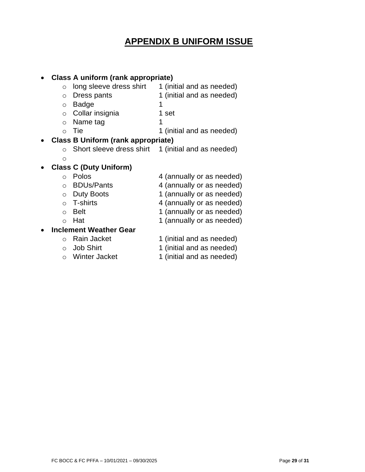## **40 APPENDIX B UNIFORM ISSUE**

<span id="page-28-0"></span>

| Class A uniform (rank appropriate)        |                               |                           |  |  |
|-------------------------------------------|-------------------------------|---------------------------|--|--|
| $\circ$                                   | long sleeve dress shirt       | 1 (initial and as needed) |  |  |
| $\circ$                                   | Dress pants                   | 1 (initial and as needed) |  |  |
| $\circ$                                   | <b>Badge</b>                  | 1                         |  |  |
| $\circ$                                   | Collar insignia               | 1 set                     |  |  |
| $\circ$                                   | Name tag                      | 1                         |  |  |
| $\bigcirc$                                | <b>Tie</b>                    | 1 (initial and as needed) |  |  |
| <b>Class B Uniform (rank appropriate)</b> |                               |                           |  |  |
| $\Omega$                                  | Short sleeve dress shirt      | 1 (initial and as needed) |  |  |
| $\circ$                                   |                               |                           |  |  |
|                                           | <b>Class C (Duty Uniform)</b> |                           |  |  |
| $\bigcap$                                 | Polos                         | 4 (annually or as needed) |  |  |
| $\Omega$                                  | <b>BDUs/Pants</b>             | 4 (annually or as needed) |  |  |
| $\circ$                                   | <b>Duty Boots</b>             | 1 (annually or as needed) |  |  |
| $\bigcap$                                 | <b>T-shirts</b>               | 4 (annually or as needed) |  |  |
| $\circ$                                   | <b>Belt</b>                   | 1 (annually or as needed) |  |  |
| $\Omega$                                  | Hat                           | 1 (annually or as needed) |  |  |
| <b>Inclement Weather Gear</b>             |                               |                           |  |  |
| $\bigcap$                                 | <b>Rain Jacket</b>            | 1 (initial and as needed) |  |  |
| $\Omega$                                  | <b>Job Shirt</b>              | 1 (initial and as needed) |  |  |
| $\bigcap$                                 | <b>Winter Jacket</b>          | 1 (initial and as needed) |  |  |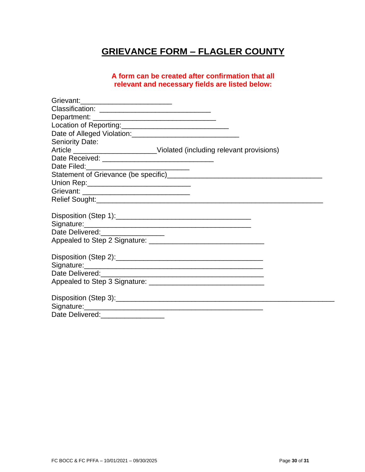## **GRIEVANCE FORM – FLAGLER COUNTY**

#### **A form can be created after confirmation that all relevant and necessary fields are listed below:**

| Grievant:____________________________                   |                                                                              |  |
|---------------------------------------------------------|------------------------------------------------------------------------------|--|
|                                                         |                                                                              |  |
|                                                         |                                                                              |  |
| Location of Reporting:_________________________________ |                                                                              |  |
|                                                         |                                                                              |  |
| <b>Seniority Date:</b>                                  |                                                                              |  |
|                                                         | Article __________________________Violated (including relevant provisions)   |  |
|                                                         |                                                                              |  |
|                                                         |                                                                              |  |
|                                                         | Statement of Grievance (be specific)<br>Statement of Grievance (be specific) |  |
| Union Rep: _________________________________            |                                                                              |  |
|                                                         |                                                                              |  |
|                                                         |                                                                              |  |
|                                                         |                                                                              |  |
|                                                         |                                                                              |  |
|                                                         |                                                                              |  |
| Date Delivered:__________________                       |                                                                              |  |
|                                                         |                                                                              |  |
|                                                         |                                                                              |  |
|                                                         |                                                                              |  |
|                                                         |                                                                              |  |
|                                                         |                                                                              |  |
|                                                         |                                                                              |  |
|                                                         |                                                                              |  |
|                                                         |                                                                              |  |
|                                                         |                                                                              |  |
| Date Delivered:                                         |                                                                              |  |